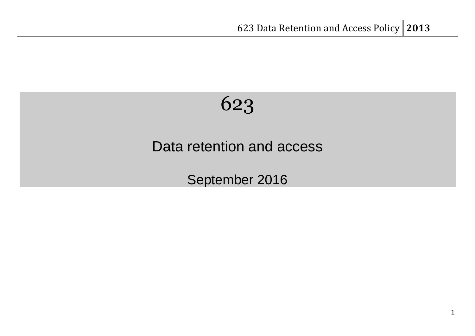# 623

## Data retention and access

September 2016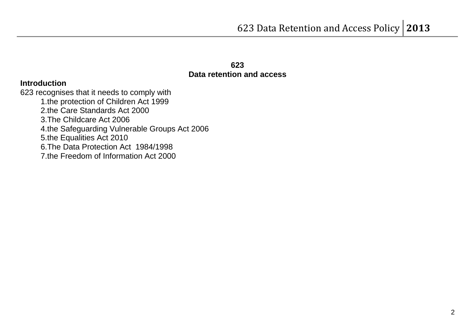#### **623 Data retention and access**

#### **Introduction**

623 recognises that it needs to comply with 1.the protection of Children Act 1999 2.the Care Standards Act 2000 3.The Childcare Act 2006 4.the Safeguarding Vulnerable Groups Act 2006 5.the Equalities Act 2010 6.The Data Protection Act 1984/1998 7.the Freedom of Information Act 2000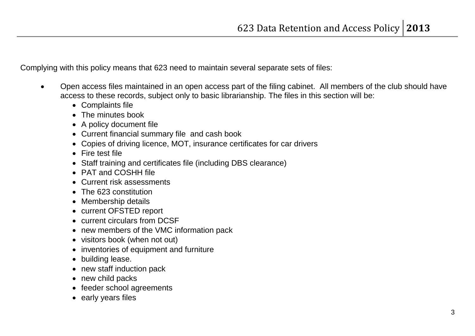Complying with this policy means that 623 need to maintain several separate sets of files:

- Open access files maintained in an open access part of the filing cabinet. All members of the club should have access to these records, subject only to basic librarianship. The files in this section will be:
	- Complaints file
	- The minutes book
	- A policy document file
	- Current financial summary file and cash book
	- Copies of driving licence, MOT, insurance certificates for car drivers
	- Fire test file
	- Staff training and certificates file (including DBS clearance)
	- PAT and COSHH file
	- Current risk assessments
	- The 623 constitution
	- Membership details
	- current OFSTED report
	- current circulars from DCSF
	- new members of the VMC information pack
	- visitors book (when not out)
	- inventories of equipment and furniture
	- building lease.
	- new staff induction pack
	- new child packs
	- feeder school agreements
	- early years files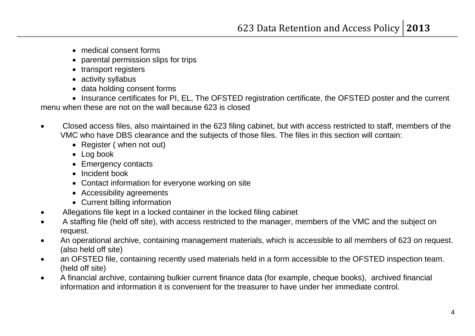- medical consent forms
- parental permission slips for trips
- transport registers
- activity syllabus
- data holding consent forms

• Insurance certificates for PI, EL, The OFSTED registration certificate, the OFSTED poster and the current menu when these are not on the wall because 623 is closed

- Closed access files, also maintained in the 623 filing cabinet, but with access restricted to staff, members of the VMC who have DBS clearance and the subjects of those files. The files in this section will contain:
	- Register (when not out)
	- Log book
	- Emergency contacts
	- Incident book
	- Contact information for everyone working on site
	- Accessibility agreements
	- Current billing information
- Allegations file kept in a locked container in the locked filing cabinet
- A staffing file (held off site), with access restricted to the manager, members of the VMC and the subject on request.
- An operational archive, containing management materials, which is accessible to all members of 623 on request. (also held off site)
- an OFSTED file, containing recently used materials held in a form accessible to the OFSTED inspection team. (held off site)
- A financial archive, containing bulkier current finance data (for example, cheque books), archived financial information and information it is convenient for the treasurer to have under her immediate control.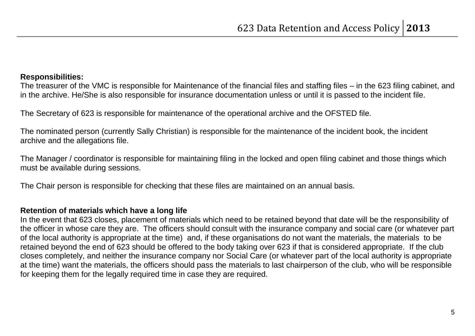#### **Responsibilities:**

The treasurer of the VMC is responsible for Maintenance of the financial files and staffing files – in the 623 filing cabinet, and in the archive. He/She is also responsible for insurance documentation unless or until it is passed to the incident file.

The Secretary of 623 is responsible for maintenance of the operational archive and the OFSTED file.

The nominated person (currently Sally Christian) is responsible for the maintenance of the incident book, the incident archive and the allegations file.

The Manager / coordinator is responsible for maintaining filing in the locked and open filing cabinet and those things which must be available during sessions.

The Chair person is responsible for checking that these files are maintained on an annual basis.

### **Retention of materials which have a long life**

In the event that 623 closes, placement of materials which need to be retained beyond that date will be the responsibility of the officer in whose care they are. The officers should consult with the insurance company and social care (or whatever part of the local authority is appropriate at the time) and, if these organisations do not want the materials, the materials to be retained beyond the end of 623 should be offered to the body taking over 623 if that is considered appropriate. If the club closes completely, and neither the insurance company nor Social Care (or whatever part of the local authority is appropriate at the time) want the materials, the officers should pass the materials to last chairperson of the club, who will be responsible for keeping them for the legally required time in case they are required.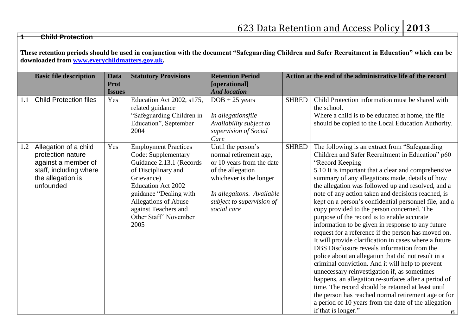#### **1 Child Protection**

**These retention periods should be used in conjunction with the document "Safeguarding Children and Safer Recruitment in Education" which can be downloaded from [www.everychildmatters.gov.uk.](http://www.everychildmatters.gov.uk/)**

|     | <b>Basic file description</b>                                                                                                 | <b>Data</b><br><b>Prot</b><br><b>Issues</b> | <b>Statutory Provisions</b>                                                                                                                                                                                                                                 | <b>Retention Period</b><br>[operational]<br><b>And location</b>                                                                                                                                    | Action at the end of the administrative life of the record |                                                                                                                                                                                                                                                                                                                                                                                                                                                                                                                                                                                                                                                                                                                                                                                                                                                                                                                                                                                                                                                                                                                                           |  |
|-----|-------------------------------------------------------------------------------------------------------------------------------|---------------------------------------------|-------------------------------------------------------------------------------------------------------------------------------------------------------------------------------------------------------------------------------------------------------------|----------------------------------------------------------------------------------------------------------------------------------------------------------------------------------------------------|------------------------------------------------------------|-------------------------------------------------------------------------------------------------------------------------------------------------------------------------------------------------------------------------------------------------------------------------------------------------------------------------------------------------------------------------------------------------------------------------------------------------------------------------------------------------------------------------------------------------------------------------------------------------------------------------------------------------------------------------------------------------------------------------------------------------------------------------------------------------------------------------------------------------------------------------------------------------------------------------------------------------------------------------------------------------------------------------------------------------------------------------------------------------------------------------------------------|--|
| 1.1 | <b>Child Protection files</b>                                                                                                 | Yes                                         | Education Act 2002, s175,<br>related guidance<br>"Safeguarding Children in<br>Education", September<br>2004                                                                                                                                                 | $DOB + 25$ years<br>In allegationsfile<br>Availability subject to<br>supervision of Social<br>Care                                                                                                 | <b>SHRED</b>                                               | Child Protection information must be shared with<br>the school.<br>Where a child is to be educated at home, the file<br>should be copied to the Local Education Authority.                                                                                                                                                                                                                                                                                                                                                                                                                                                                                                                                                                                                                                                                                                                                                                                                                                                                                                                                                                |  |
| 1.2 | Allegation of a child<br>protection nature<br>against a member of<br>staff, including where<br>the allegation is<br>unfounded | Yes                                         | <b>Employment Practices</b><br>Code: Supplementary<br>Guidance 2.13.1 (Records<br>of Disciplinary and<br>Grievance)<br><b>Education Act 2002</b><br>guidance "Dealing with<br>Allegations of Abuse<br>against Teachers and<br>Other Staff' November<br>2005 | Until the person's<br>normal retirement age,<br>or 10 years from the date<br>of the allegation<br>whichever is the longer<br>In allegaitons. Available<br>subject to supervision of<br>social care | <b>SHRED</b>                                               | The following is an extract from "Safeguarding<br>Children and Safer Recruitment in Education" p60<br>"Record Keeping<br>5.10 It is important that a clear and comprehensive<br>summary of any allegations made, details of how<br>the allegation was followed up and resolved, and a<br>note of any action taken and decisions reached, is<br>kept on a person's confidential personnel file, and a<br>copy provided to the person concerned. The<br>purpose of the record is to enable accurate<br>information to be given in response to any future<br>request for a reference if the person has moved on.<br>It will provide clarification in cases where a future<br>DBS Disclosure reveals information from the<br>police about an allegation that did not result in a<br>criminal conviction. And it will help to prevent<br>unnecessary reinvestigation if, as sometimes<br>happens, an allegation re-surfaces after a period of<br>time. The record should be retained at least until<br>the person has reached normal retirement age or for<br>a period of 10 years from the date of the allegation<br>if that is longer."<br>6 |  |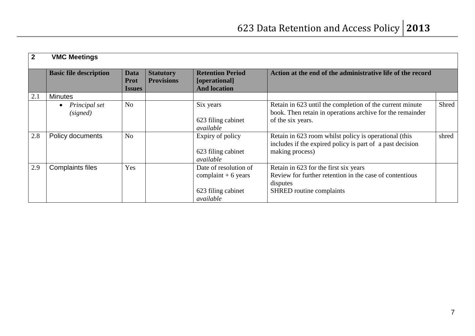| $\overline{2}$ | <b>VMC Meetings</b>           |                                      |                                       |                                                                                  |                                                                                                                                            |       |
|----------------|-------------------------------|--------------------------------------|---------------------------------------|----------------------------------------------------------------------------------|--------------------------------------------------------------------------------------------------------------------------------------------|-------|
|                | <b>Basic file description</b> | Data<br><b>Prot</b><br><b>Issues</b> | <b>Statutory</b><br><b>Provisions</b> | <b>Retention Period</b><br>[operational]<br><b>And location</b>                  | Action at the end of the administrative life of the record                                                                                 |       |
| 2.1            | <b>Minutes</b>                |                                      |                                       |                                                                                  |                                                                                                                                            |       |
|                | Principal set<br>(signed)     | N <sub>o</sub>                       |                                       | Six years<br>623 filing cabinet<br>available                                     | Retain in 623 until the completion of the current minute<br>book. Then retain in operations archive for the remainder<br>of the six years. | Shred |
| 2.8            | Policy documents              | N <sub>o</sub>                       |                                       | Expiry of policy<br>623 filing cabinet<br>available                              | Retain in 623 room whilst policy is operational (this<br>includes if the expired policy is part of a past decision<br>making process)      | shred |
| 2.9            | <b>Complaints files</b>       | Yes                                  |                                       | Date of resolution of<br>complaint $+6$ years<br>623 filing cabinet<br>available | Retain in 623 for the first six years<br>Review for further retention in the case of contentious<br>disputes<br>SHRED routine complaints   |       |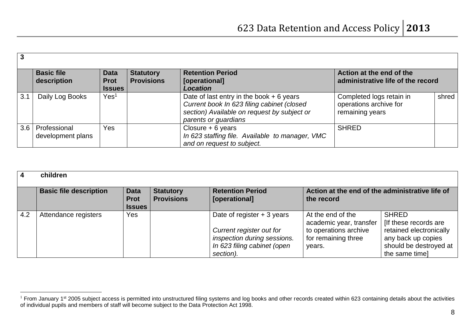|     | <b>Basic file</b><br>description  | <b>Data</b><br><b>Prot</b><br><b>Issues</b> | <b>Statutory</b><br><b>Provisions</b> | <b>Retention Period</b><br>[operational]<br><b>Location</b>                                                                                                    | Action at the end of the<br>administrative life of the record         |       |
|-----|-----------------------------------|---------------------------------------------|---------------------------------------|----------------------------------------------------------------------------------------------------------------------------------------------------------------|-----------------------------------------------------------------------|-------|
| 3.1 | Daily Log Books                   | Yes <sup>1</sup>                            |                                       | Date of last entry in the book $+6$ years<br>Current book In 623 filing cabinet (closed<br>section) Available on request by subject or<br>parents or guardians | Completed logs retain in<br>operations archive for<br>remaining years | shred |
| 3.6 | Professional<br>development plans | <b>Yes</b>                                  |                                       | Closure $+ 6$ years<br>In 623 staffing file. Available to manager, VMC<br>and on request to subject.                                                           | <b>SHRED</b>                                                          |       |

|     | children                      |                                             |                                       |                                                                                                                                    |                                                                                                        |                                                                                                                                   |  |  |
|-----|-------------------------------|---------------------------------------------|---------------------------------------|------------------------------------------------------------------------------------------------------------------------------------|--------------------------------------------------------------------------------------------------------|-----------------------------------------------------------------------------------------------------------------------------------|--|--|
|     | <b>Basic file description</b> | <b>Data</b><br><b>Prot</b><br><b>Issues</b> | <b>Statutory</b><br><b>Provisions</b> | <b>Retention Period</b><br>[operational]                                                                                           | Action at the end of the administrative life of<br>the record                                          |                                                                                                                                   |  |  |
| 4.2 | Attendance registers          | Yes                                         |                                       | Date of register $+3$ years<br>Current register out for<br>inspection during sessions.<br>In 623 filing cabinet (open<br>section). | At the end of the<br>academic year, transfer<br>to operations archive<br>for remaining three<br>years. | <b>SHRED</b><br>If these records are<br>retained electronically<br>any back up copies<br>should be destroyed at<br>the same time] |  |  |

 $\overline{a}$ 

 $1$  From January 1<sup>st</sup> 2005 subject access is permitted into unstructured filing systems and log books and other records created within 623 containing details about the activities of individual pupils and members of staff will become subject to the Data Protection Act 1998.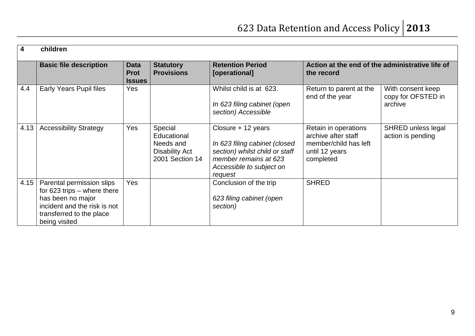| $\overline{\mathbf{4}}$ | children                                                                                                                                                     |                                             |                                                                                 |                                                                                                                                                       |                                                                                                     |                                                    |
|-------------------------|--------------------------------------------------------------------------------------------------------------------------------------------------------------|---------------------------------------------|---------------------------------------------------------------------------------|-------------------------------------------------------------------------------------------------------------------------------------------------------|-----------------------------------------------------------------------------------------------------|----------------------------------------------------|
|                         | <b>Basic file description</b>                                                                                                                                | <b>Data</b><br><b>Prot</b><br><b>Issues</b> | <b>Statutory</b><br><b>Provisions</b>                                           | <b>Retention Period</b><br>[operational]                                                                                                              | Action at the end of the administrative life of<br>the record                                       |                                                    |
| 4.4                     | <b>Early Years Pupil files</b>                                                                                                                               | Yes                                         |                                                                                 | Whilst child is at 623.<br>In 623 filing cabinet (open<br>section) Accessible                                                                         | Return to parent at the<br>end of the year                                                          | With consent keep<br>copy for OFSTED in<br>archive |
| 4.13                    | <b>Accessibility Strategy</b>                                                                                                                                | Yes                                         | Special<br>Educational<br>Needs and<br><b>Disability Act</b><br>2001 Section 14 | Closure + 12 years<br>In 623 filing cabinet (closed<br>section) whilst child or staff<br>member remains at 623<br>Accessible to subject on<br>request | Retain in operations<br>archive after staff<br>member/child has left<br>until 12 years<br>completed | SHRED unless legal<br>action is pending            |
| 4.15                    | Parental permission slips<br>for $623$ trips – where there<br>has been no major<br>incident and the risk is not<br>transferred to the place<br>being visited | Yes                                         |                                                                                 | Conclusion of the trip<br>623 filing cabinet (open<br>section)                                                                                        | <b>SHRED</b>                                                                                        |                                                    |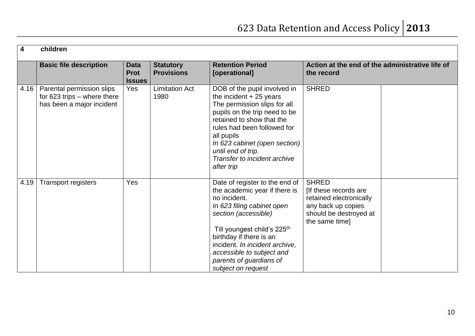| $\overline{\mathbf{4}}$ | children                                                                                |                                             |                                       |                                                                                                                                                                                                                                                                                                                             |                                                                                                                                    |  |  |  |
|-------------------------|-----------------------------------------------------------------------------------------|---------------------------------------------|---------------------------------------|-----------------------------------------------------------------------------------------------------------------------------------------------------------------------------------------------------------------------------------------------------------------------------------------------------------------------------|------------------------------------------------------------------------------------------------------------------------------------|--|--|--|
|                         | <b>Basic file description</b>                                                           | <b>Data</b><br><b>Prot</b><br><b>Issues</b> | <b>Statutory</b><br><b>Provisions</b> | <b>Retention Period</b><br>[operational]                                                                                                                                                                                                                                                                                    | Action at the end of the administrative life of<br>the record                                                                      |  |  |  |
| 4.16                    | Parental permission slips<br>for $623$ trips – where there<br>has been a major incident | Yes                                         | <b>Limitation Act</b><br>1980         | DOB of the pupil involved in<br>the incident $+25$ years<br>The permission slips for all<br>pupils on the trip need to be<br>retained to show that the<br>rules had been followed for<br>all pupils<br>In 623 cabinet (open section)<br>until end of trip.<br>Transfer to incident archive<br>after trip                    | <b>SHRED</b>                                                                                                                       |  |  |  |
| 4.19                    | <b>Transport registers</b>                                                              | Yes                                         |                                       | Date of register to the end of<br>the academic year if there is<br>no incident.<br>In 623 filing cabinet open<br>section (accessible)<br>Till youngest child's 225 <sup>th</sup><br>birthday if there is an<br>incident. In incident archive,<br>accessible to subject and<br>parents of guardians of<br>subject on request | <b>SHRED</b><br>[If these records are<br>retained electronically<br>any back up copies<br>should be destroyed at<br>the same time] |  |  |  |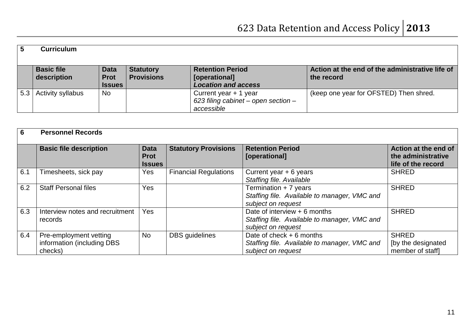| 5   | <b>Curriculum</b>                |                                             |                                       |                                                                            |                                                               |
|-----|----------------------------------|---------------------------------------------|---------------------------------------|----------------------------------------------------------------------------|---------------------------------------------------------------|
|     | <b>Basic file</b><br>description | <b>Data</b><br><b>Prot</b><br><b>Issues</b> | <b>Statutory</b><br><b>Provisions</b> | <b>Retention Period</b><br>[operational]<br><b>Location and access</b>     | Action at the end of the administrative life of<br>the record |
| 5.3 | <b>Activity syllabus</b>         | <b>No</b>                                   |                                       | Current year + 1 year<br>623 filing cabinet – open section –<br>accessible | (keep one year for OFSTED) Then shred.                        |

| 6   | <b>Personnel Records</b>                                        |                                             |                              |                                                                                                     |                                                                  |  |  |  |
|-----|-----------------------------------------------------------------|---------------------------------------------|------------------------------|-----------------------------------------------------------------------------------------------------|------------------------------------------------------------------|--|--|--|
|     | <b>Basic file description</b>                                   | <b>Data</b><br><b>Prot</b><br><b>Issues</b> | <b>Statutory Provisions</b>  | <b>Retention Period</b><br>[operational]                                                            | Action at the end of<br>the administrative<br>life of the record |  |  |  |
| 6.1 | Timesheets, sick pay                                            | Yes                                         | <b>Financial Regulations</b> | Current year $+ 6$ years<br>Staffing file. Available                                                | <b>SHRED</b>                                                     |  |  |  |
| 6.2 | <b>Staff Personal files</b>                                     | <b>Yes</b>                                  |                              | Termination + 7 years<br>Staffing file. Available to manager, VMC and<br>subject on request         | <b>SHRED</b>                                                     |  |  |  |
| 6.3 | Interview notes and recruitment<br>records                      | Yes                                         |                              | Date of interview $+6$ months<br>Staffing file. Available to manager, VMC and<br>subject on request | <b>SHRED</b>                                                     |  |  |  |
| 6.4 | Pre-employment vetting<br>information (including DBS<br>checks) | <b>No</b>                                   | <b>DBS</b> guidelines        | Date of check $+6$ months<br>Staffing file. Available to manager, VMC and<br>subject on request     | <b>SHRED</b><br>[by the designated<br>member of staff]           |  |  |  |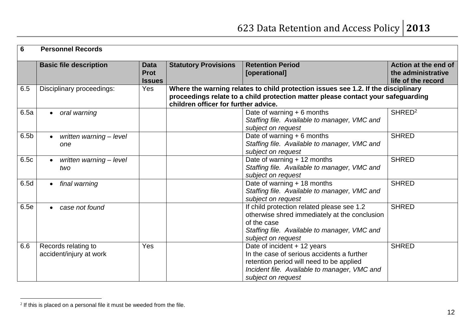| $6\phantom{1}6$  | <b>Personnel Records</b>                       |                                             |                             |                                                                                                                                                                                                               |                                                                  |  |  |  |
|------------------|------------------------------------------------|---------------------------------------------|-----------------------------|---------------------------------------------------------------------------------------------------------------------------------------------------------------------------------------------------------------|------------------------------------------------------------------|--|--|--|
|                  | <b>Basic file description</b>                  | <b>Data</b><br><b>Prot</b><br><b>Issues</b> | <b>Statutory Provisions</b> | <b>Retention Period</b><br>[operational]                                                                                                                                                                      | Action at the end of<br>the administrative<br>life of the record |  |  |  |
| 6.5              | Disciplinary proceedings:                      | Yes                                         |                             | Where the warning relates to child protection issues see 1.2. If the disciplinary<br>proceedings relate to a child protection matter please contact your safeguarding<br>children officer for further advice. |                                                                  |  |  |  |
| 6.5a             | oral warning                                   |                                             |                             | Date of warning $+ 6$ months<br>Staffing file. Available to manager, VMC and<br>subject on request                                                                                                            | SHRED <sup>2</sup>                                               |  |  |  |
| 6.5 <sub>b</sub> | written warning - level<br>one                 |                                             |                             | Date of warning $+ 6$ months<br>Staffing file. Available to manager, VMC and<br>subject on request                                                                                                            | <b>SHRED</b>                                                     |  |  |  |
| 6.5c             | written warning - level<br>two                 |                                             |                             | Date of warning + 12 months<br>Staffing file. Available to manager, VMC and<br>subject on request                                                                                                             | <b>SHRED</b>                                                     |  |  |  |
| 6.5d             | final warning                                  |                                             |                             | Date of warning + 18 months<br>Staffing file. Available to manager, VMC and<br>subject on request                                                                                                             | <b>SHRED</b>                                                     |  |  |  |
| 6.5e             | case not found                                 |                                             |                             | If child protection related please see 1.2<br>otherwise shred immediately at the conclusion<br>of the case<br>Staffing file. Available to manager, VMC and<br>subject on request                              | <b>SHRED</b>                                                     |  |  |  |
| 6.6              | Records relating to<br>accident/injury at work | Yes                                         |                             | Date of incident + 12 years<br>In the case of serious accidents a further<br>retention period will need to be applied<br>Incident file. Available to manager, VMC and<br>subject on request                   | <b>SHRED</b>                                                     |  |  |  |

 2 If this is placed on a personal file it must be weeded from the file.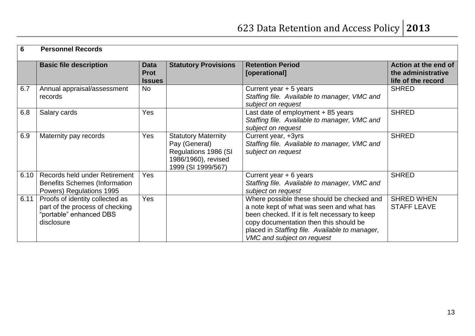| $6\phantom{1}$ | <b>Personnel Records</b>                                                                                    |                                             |                                                                                                                  |                                                                                                                                                                                                                                                                    |                                                                  |
|----------------|-------------------------------------------------------------------------------------------------------------|---------------------------------------------|------------------------------------------------------------------------------------------------------------------|--------------------------------------------------------------------------------------------------------------------------------------------------------------------------------------------------------------------------------------------------------------------|------------------------------------------------------------------|
|                | <b>Basic file description</b>                                                                               | <b>Data</b><br><b>Prot</b><br><b>Issues</b> | <b>Statutory Provisions</b>                                                                                      | <b>Retention Period</b><br>[operational]                                                                                                                                                                                                                           | Action at the end of<br>the administrative<br>life of the record |
| 6.7            | Annual appraisal/assessment<br>records                                                                      | <b>No</b>                                   |                                                                                                                  | Current year $+5$ years<br>Staffing file. Available to manager, VMC and<br>subject on request                                                                                                                                                                      | <b>SHRED</b>                                                     |
| 6.8            | Salary cards                                                                                                | Yes                                         |                                                                                                                  | Last date of employment + 85 years<br>Staffing file. Available to manager, VMC and<br>subject on request                                                                                                                                                           | <b>SHRED</b>                                                     |
| 6.9            | Maternity pay records                                                                                       | Yes                                         | <b>Statutory Maternity</b><br>Pay (General)<br>Regulations 1986 (SI<br>1986/1960), revised<br>1999 (SI 1999/567) | Current year, +3yrs<br>Staffing file. Available to manager, VMC and<br>subject on request                                                                                                                                                                          | <b>SHRED</b>                                                     |
| 6.10           | Records held under Retirement<br><b>Benefits Schemes (Information</b><br>Powers) Regulations 1995           | <b>Yes</b>                                  |                                                                                                                  | Current year $+ 6$ years<br>Staffing file. Available to manager, VMC and<br>subject on request                                                                                                                                                                     | <b>SHRED</b>                                                     |
| 6.11           | Proofs of identity collected as<br>part of the process of checking<br>"portable" enhanced DBS<br>disclosure | Yes                                         |                                                                                                                  | Where possible these should be checked and<br>a note kept of what was seen and what has<br>been checked. If it is felt necessary to keep<br>copy documentation then this should be<br>placed in Staffing file. Available to manager,<br>VMC and subject on request | <b>SHRED WHEN</b><br><b>STAFF LEAVE</b>                          |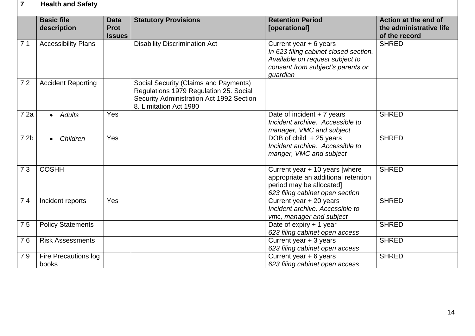| 7                | <b>Health and Safety</b>         |                                             |                                                                                                                                                       |                                                                                                                                                     |                                                                  |
|------------------|----------------------------------|---------------------------------------------|-------------------------------------------------------------------------------------------------------------------------------------------------------|-----------------------------------------------------------------------------------------------------------------------------------------------------|------------------------------------------------------------------|
|                  | <b>Basic file</b><br>description | <b>Data</b><br><b>Prot</b><br><b>Issues</b> | <b>Statutory Provisions</b>                                                                                                                           | <b>Retention Period</b><br>[operational]                                                                                                            | Action at the end of<br>the administrative life<br>of the record |
| 7.1              | <b>Accessibility Plans</b>       |                                             | <b>Disability Discrimination Act</b>                                                                                                                  | Current year + 6 years<br>In 623 filing cabinet closed section.<br>Available on request subject to<br>consent from subject's parents or<br>quardian | <b>SHRED</b>                                                     |
| 7.2              | <b>Accident Reporting</b>        |                                             | Social Security (Claims and Payments)<br>Regulations 1979 Regulation 25. Social<br>Security Administration Act 1992 Section<br>8. Limitation Act 1980 |                                                                                                                                                     |                                                                  |
| 7.2a             | <b>Adults</b><br>$\bullet$       | Yes                                         |                                                                                                                                                       | Date of incident $+7$ years<br>Incident archive. Accessible to<br>manager, VMC and subject                                                          | <b>SHRED</b>                                                     |
| 7.2 <sub>b</sub> | Children<br>$\bullet$            | Yes                                         |                                                                                                                                                       | DOB of child $+25$ years<br>Incident archive. Accessible to<br>manger, VMC and subject                                                              | <b>SHRED</b>                                                     |
| 7.3              | <b>COSHH</b>                     |                                             |                                                                                                                                                       | Current year + 10 years [where<br>appropriate an additional retention<br>period may be allocated]<br>623 filing cabinet open section                | <b>SHRED</b>                                                     |
| 7.4              | Incident reports                 | Yes                                         |                                                                                                                                                       | Current year + 20 years<br>Incident archive, Accessible to<br>vmc, manager and subject                                                              | <b>SHRED</b>                                                     |
| 7.5              | <b>Policy Statements</b>         |                                             |                                                                                                                                                       | Date of expiry $+1$ year<br>623 filing cabinet open access                                                                                          | <b>SHRED</b>                                                     |
| 7.6              | <b>Risk Assessments</b>          |                                             |                                                                                                                                                       | Current year $+3$ years<br>623 filing cabinet open access                                                                                           | <b>SHRED</b>                                                     |
| 7.9              | Fire Precautions log<br>books    |                                             |                                                                                                                                                       | Current year $+ 6$ years<br>623 filing cabinet open access                                                                                          | <b>SHRED</b>                                                     |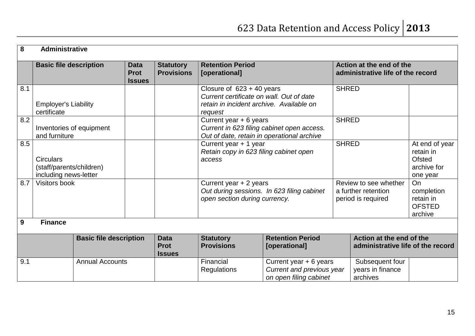| 8                             | <b>Administrative</b>                                                 |                        |                                             |                                                                                                       |                                                                                                                                |                                                                               |              |                                                                  |                                                                         |
|-------------------------------|-----------------------------------------------------------------------|------------------------|---------------------------------------------|-------------------------------------------------------------------------------------------------------|--------------------------------------------------------------------------------------------------------------------------------|-------------------------------------------------------------------------------|--------------|------------------------------------------------------------------|-------------------------------------------------------------------------|
|                               | <b>Basic file description</b>                                         |                        | <b>Data</b><br><b>Prot</b><br><b>Issues</b> | <b>Statutory</b><br><b>Provisions</b>                                                                 | <b>Retention Period</b><br>[operational]                                                                                       |                                                                               |              | Action at the end of the<br>administrative life of the record    |                                                                         |
| 8.1                           | <b>Employer's Liability</b><br>certificate                            |                        |                                             |                                                                                                       | Closure of $623 + 40$ years<br>Current certificate on wall. Out of date<br>retain in incident archive. Available on<br>request |                                                                               | <b>SHRED</b> |                                                                  |                                                                         |
| 8.2                           | Inventories of equipment<br>and furniture                             |                        |                                             |                                                                                                       | Current year + 6 years<br>Current in 623 filing cabinet open access.<br>Out of date, retain in operational archive             |                                                                               | <b>SHRED</b> |                                                                  |                                                                         |
| 8.5                           | <b>Circulars</b><br>(staff/parents/children)<br>including news-letter |                        |                                             |                                                                                                       | Current year + 1 year<br>Retain copy in 623 filing cabinet open<br>access                                                      |                                                                               | <b>SHRED</b> |                                                                  | At end of year<br>retain in<br><b>Ofsted</b><br>archive for<br>one year |
| 8.7                           | Visitors book                                                         |                        |                                             | Current year + 2 years<br>Out during sessions. In 623 filing cabinet<br>open section during currency. |                                                                                                                                | Review to see whether<br>a further retention<br>period is required            |              | <b>On</b><br>completion<br>retain in<br><b>OFSTED</b><br>archive |                                                                         |
| 9                             | <b>Finance</b>                                                        |                        |                                             |                                                                                                       |                                                                                                                                |                                                                               |              |                                                                  |                                                                         |
| <b>Basic file description</b> |                                                                       |                        | <b>Data</b><br><b>Prot</b><br><b>Issues</b> | <b>Retention Period</b><br><b>Statutory</b><br><b>Provisions</b><br>[operational]                     |                                                                                                                                | Action at the end of the<br>administrative life of the record                 |              |                                                                  |                                                                         |
| 9.1                           |                                                                       | <b>Annual Accounts</b> |                                             |                                                                                                       | Financial<br><b>Regulations</b>                                                                                                | Current year + 6 years<br>Current and previous year<br>on open filing cabinet |              | Subsequent four<br>years in finance<br>archives                  |                                                                         |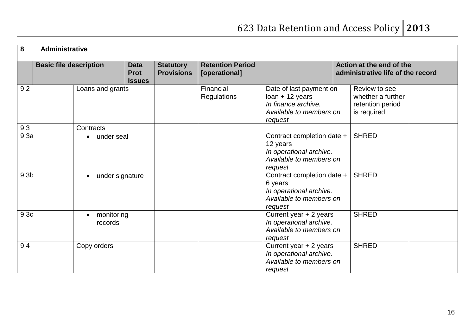| $\overline{\mathbf{8}}$ | <b>Administrative</b>         |                                    |                                             |                                                                                             |                                          |                                                                                                           |                                                                       |  |
|-------------------------|-------------------------------|------------------------------------|---------------------------------------------|---------------------------------------------------------------------------------------------|------------------------------------------|-----------------------------------------------------------------------------------------------------------|-----------------------------------------------------------------------|--|
|                         | <b>Basic file description</b> |                                    | <b>Data</b><br><b>Prot</b><br><b>Issues</b> | <b>Statutory</b><br><b>Provisions</b>                                                       | <b>Retention Period</b><br>[operational] |                                                                                                           | Action at the end of the<br>administrative life of the record         |  |
| 9.2                     |                               | Loans and grants                   |                                             |                                                                                             | Financial<br><b>Regulations</b>          | Date of last payment on<br>$Ioan + 12$ years<br>In finance archive.<br>Available to members on<br>request | Review to see<br>whether a further<br>retention period<br>is required |  |
| 9.3                     |                               | Contracts                          |                                             |                                                                                             |                                          |                                                                                                           |                                                                       |  |
| 9.3a                    |                               | under seal                         |                                             |                                                                                             |                                          | Contract completion date +<br>12 years<br>In operational archive.<br>Available to members on<br>request   | <b>SHRED</b>                                                          |  |
| 9.3 <sub>b</sub>        |                               | under signature<br>6 years         |                                             | Contract completion date +<br>In operational archive.<br>Available to members on<br>request | <b>SHRED</b>                             |                                                                                                           |                                                                       |  |
| 9.3 <sub>c</sub>        |                               | monitoring<br>$\bullet$<br>records |                                             |                                                                                             |                                          | Current year + 2 years<br>In operational archive.<br>Available to members on<br>request                   | <b>SHRED</b>                                                          |  |
| 9.4                     |                               | Copy orders                        |                                             |                                                                                             |                                          | Current year + 2 years<br>In operational archive.<br>Available to members on<br>request                   | <b>SHRED</b>                                                          |  |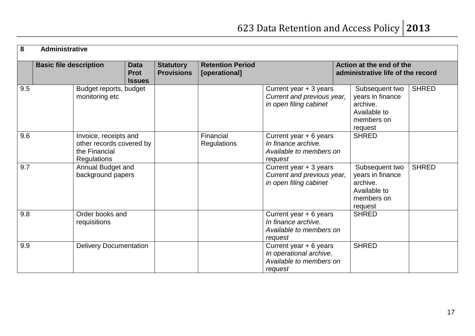| $\boldsymbol{8}$ | <b>Administrative</b>         |                                                                                          |                                             |                                       |                                          |                                                                                         |  |                                                                                         |              |
|------------------|-------------------------------|------------------------------------------------------------------------------------------|---------------------------------------------|---------------------------------------|------------------------------------------|-----------------------------------------------------------------------------------------|--|-----------------------------------------------------------------------------------------|--------------|
|                  | <b>Basic file description</b> |                                                                                          | <b>Data</b><br><b>Prot</b><br><b>Issues</b> | <b>Statutory</b><br><b>Provisions</b> | <b>Retention Period</b><br>[operational] |                                                                                         |  | Action at the end of the<br>administrative life of the record                           |              |
| 9.5              |                               | Budget reports, budget<br>monitoring etc                                                 |                                             |                                       |                                          | Current year + 3 years<br>Current and previous year,<br>in open filing cabinet          |  | Subsequent two<br>years in finance<br>archive.<br>Available to<br>members on<br>request | <b>SHRED</b> |
| 9.6              |                               | Invoice, receipts and<br>other records covered by<br>the Financial<br><b>Regulations</b> |                                             |                                       | Financial<br><b>Regulations</b>          | Current year $+ 6$ years<br>In finance archive.<br>Available to members on<br>request   |  | <b>SHRED</b>                                                                            |              |
| 9.7              |                               | Annual Budget and<br>background papers                                                   |                                             |                                       |                                          | Current year + 3 years<br>Current and previous year,<br>in open filing cabinet          |  | Subsequent two<br>years in finance<br>archive.<br>Available to<br>members on<br>request | <b>SHRED</b> |
| 9.8              |                               | Order books and<br>requisitions                                                          |                                             |                                       |                                          | Current year + 6 years<br>In finance archive.<br>Available to members on<br>request     |  | <b>SHRED</b>                                                                            |              |
| 9.9              |                               | <b>Delivery Documentation</b>                                                            |                                             |                                       |                                          | Current year + 6 years<br>In operational archive.<br>Available to members on<br>request |  | <b>SHRED</b>                                                                            |              |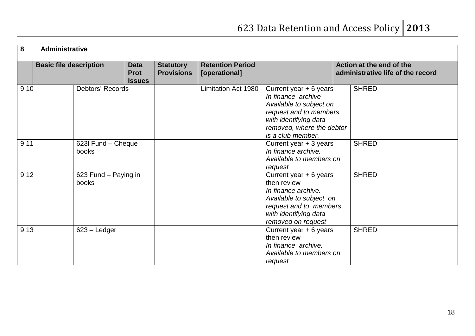| 8    | Administrative                |                                             |                                       |                                                                                                                                                                                                       |                                                                                                    |                                                               |  |  |  |
|------|-------------------------------|---------------------------------------------|---------------------------------------|-------------------------------------------------------------------------------------------------------------------------------------------------------------------------------------------------------|----------------------------------------------------------------------------------------------------|---------------------------------------------------------------|--|--|--|
|      | <b>Basic file description</b> | <b>Data</b><br><b>Prot</b><br><b>Issues</b> | <b>Statutory</b><br><b>Provisions</b> | <b>Retention Period</b><br>[operational]                                                                                                                                                              |                                                                                                    | Action at the end of the<br>administrative life of the record |  |  |  |
| 9.10 | Debtors' Records              |                                             |                                       | Limitation Act 1980<br>Current year $+ 6$ years<br>In finance archive<br>Available to subject on<br>request and to members<br>with identifying data<br>removed, where the debtor<br>is a club member. |                                                                                                    | <b>SHRED</b>                                                  |  |  |  |
| 9.11 | 623I Fund - Cheque<br>books   |                                             |                                       | Current year + 3 years<br>In finance archive.<br>Available to members on<br>request                                                                                                                   |                                                                                                    | <b>SHRED</b>                                                  |  |  |  |
| 9.12 | 623 Fund - Paying in<br>books |                                             |                                       | Current year + 6 years<br>then review<br>In finance archive.<br>Available to subject on<br>request and to members<br>with identifying data<br>removed on request                                      |                                                                                                    | <b>SHRED</b>                                                  |  |  |  |
| 9.13 | $623 -$ Ledger                |                                             |                                       |                                                                                                                                                                                                       | Current year + 6 years<br>then review<br>In finance archive.<br>Available to members on<br>request | <b>SHRED</b>                                                  |  |  |  |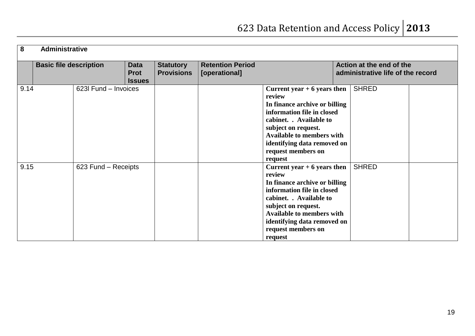| 8                                                           | <b>Administrative</b> |               |                                       |                                          |                                                                                                                                                                                                                                                              |                                                               |  |  |  |
|-------------------------------------------------------------|-----------------------|---------------|---------------------------------------|------------------------------------------|--------------------------------------------------------------------------------------------------------------------------------------------------------------------------------------------------------------------------------------------------------------|---------------------------------------------------------------|--|--|--|
| <b>Basic file description</b><br><b>Data</b><br><b>Prot</b> |                       | <b>Issues</b> | <b>Statutory</b><br><b>Provisions</b> | <b>Retention Period</b><br>[operational] |                                                                                                                                                                                                                                                              | Action at the end of the<br>administrative life of the record |  |  |  |
| 9.14                                                        | 623I Fund - Invoices  |               |                                       |                                          | Current year $+6$ years then<br>review<br>In finance archive or billing<br>information file in closed<br>cabinet. . Available to<br>subject on request.<br><b>Available to members with</b><br>identifying data removed on<br>request members on<br>request  | <b>SHRED</b>                                                  |  |  |  |
| 9.15                                                        | 623 Fund - Receipts   |               |                                       |                                          | Current year $+ 6$ years then<br>review<br>In finance archive or billing<br>information file in closed<br>cabinet. . Available to<br>subject on request.<br><b>Available to members with</b><br>identifying data removed on<br>request members on<br>request | <b>SHRED</b>                                                  |  |  |  |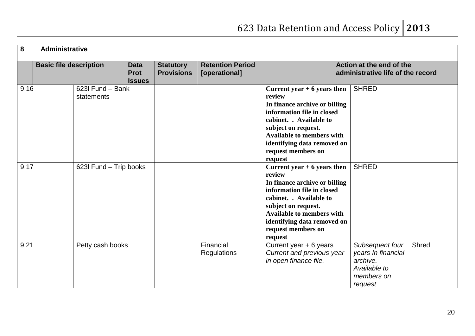| 8    | Administrative                |                                |                                             |                                       |                                          |                                                                                                                                                                                                                                                              |                                                                                            |       |  |
|------|-------------------------------|--------------------------------|---------------------------------------------|---------------------------------------|------------------------------------------|--------------------------------------------------------------------------------------------------------------------------------------------------------------------------------------------------------------------------------------------------------------|--------------------------------------------------------------------------------------------|-------|--|
|      | <b>Basic file description</b> |                                | <b>Data</b><br><b>Prot</b><br><b>Issues</b> | <b>Statutory</b><br><b>Provisions</b> | <b>Retention Period</b><br>[operational] |                                                                                                                                                                                                                                                              | Action at the end of the<br>administrative life of the record                              |       |  |
| 9.16 |                               | 623l Fund - Bank<br>statements |                                             |                                       |                                          | Current year $+6$ years then<br>review<br>In finance archive or billing<br>information file in closed<br>cabinet. . Available to<br>subject on request.<br><b>Available to members with</b><br>identifying data removed on<br>request members on<br>request  | <b>SHRED</b>                                                                               |       |  |
| 9.17 |                               | 623I Fund - Trip books         |                                             |                                       |                                          | Current year $+ 6$ years then<br>review<br>In finance archive or billing<br>information file in closed<br>cabinet. . Available to<br>subject on request.<br><b>Available to members with</b><br>identifying data removed on<br>request members on<br>request | <b>SHRED</b>                                                                               |       |  |
| 9.21 |                               | Petty cash books               |                                             |                                       | Financial<br>Regulations                 | Current year + 6 years<br>Current and previous year<br>in open finance file.                                                                                                                                                                                 | Subsequent four<br>years In financial<br>archive.<br>Available to<br>members on<br>request | Shred |  |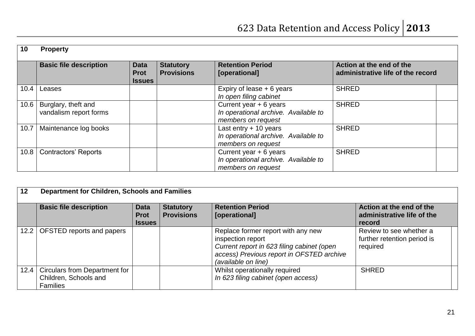| 10   | <b>Property</b>                               |                                             |                                       |                                                                                        |                                                               |
|------|-----------------------------------------------|---------------------------------------------|---------------------------------------|----------------------------------------------------------------------------------------|---------------------------------------------------------------|
|      | <b>Basic file description</b>                 | <b>Data</b><br><b>Prot</b><br><b>Issues</b> | <b>Statutory</b><br><b>Provisions</b> | <b>Retention Period</b><br>[operational]                                               | Action at the end of the<br>administrative life of the record |
| 10.4 | Leases                                        |                                             |                                       | Expiry of lease $+ 6$ years<br>In open filing cabinet                                  | <b>SHRED</b>                                                  |
| 10.6 | Burglary, theft and<br>vandalism report forms |                                             |                                       | Current year + 6 years<br>In operational archive. Available to<br>members on request   | <b>SHRED</b>                                                  |
| 10.7 | Maintenance log books                         |                                             |                                       | Last entry $+10$ years<br>In operational archive. Available to<br>members on request   | <b>SHRED</b>                                                  |
| 10.8 | <b>Contractors' Reports</b>                   |                                             |                                       | Current year $+ 6$ years<br>In operational archive. Available to<br>members on request | <b>SHRED</b>                                                  |

| 12   | Department for Children, Schools and Families                             |                                             |                                       |                                                                                                                                                                           |                                                                    |  |  |  |  |
|------|---------------------------------------------------------------------------|---------------------------------------------|---------------------------------------|---------------------------------------------------------------------------------------------------------------------------------------------------------------------------|--------------------------------------------------------------------|--|--|--|--|
|      | <b>Basic file description</b>                                             | <b>Data</b><br><b>Prot</b><br><b>Issues</b> | <b>Statutory</b><br><b>Provisions</b> | <b>Retention Period</b><br>[operational]                                                                                                                                  | Action at the end of the<br>administrative life of the<br>record   |  |  |  |  |
| 12.2 | OFSTED reports and papers                                                 |                                             |                                       | Replace former report with any new<br>inspection report<br>Current report in 623 filing cabinet (open<br>access) Previous report in OFSTED archive<br>(available on line) | Review to see whether a<br>further retention period is<br>required |  |  |  |  |
| 12.4 | Circulars from Department for<br>Children, Schools and<br><b>Families</b> |                                             |                                       | Whilst operationally required<br>In 623 filing cabinet (open access)                                                                                                      | <b>SHRED</b>                                                       |  |  |  |  |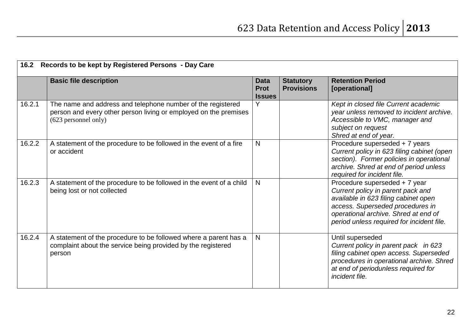|        | 16.2 Records to be kept by Registered Persons - Day Care                                                                                                |                                             |                                       |                                                                                                                                                                                                                                     |  |  |  |  |
|--------|---------------------------------------------------------------------------------------------------------------------------------------------------------|---------------------------------------------|---------------------------------------|-------------------------------------------------------------------------------------------------------------------------------------------------------------------------------------------------------------------------------------|--|--|--|--|
|        | <b>Basic file description</b>                                                                                                                           | <b>Data</b><br><b>Prot</b><br><b>Issues</b> | <b>Statutory</b><br><b>Provisions</b> | <b>Retention Period</b><br>[operational]                                                                                                                                                                                            |  |  |  |  |
| 16.2.1 | The name and address and telephone number of the registered<br>person and every other person living or employed on the premises<br>(623 personnel only) | Y                                           |                                       | Kept in closed file Current academic<br>year unless removed to incident archive.<br>Accessible to VMC, manager and<br>subject on request<br>Shred at end of year.                                                                   |  |  |  |  |
| 16.2.2 | A statement of the procedure to be followed in the event of a fire<br>or accident                                                                       | N                                           |                                       | Procedure superseded + 7 years<br>Current policy in 623 filing cabinet (open<br>section). Former policies in operational<br>archive. Shred at end of period unless<br>required for incident file.                                   |  |  |  |  |
| 16.2.3 | A statement of the procedure to be followed in the event of a child<br>being lost or not collected                                                      | N                                           |                                       | Procedure superseded + 7 year<br>Current policy in parent pack and<br>available in 623 filing cabinet open<br>access. Superseded procedures in<br>operational archive. Shred at end of<br>period unless required for incident file. |  |  |  |  |
| 16.2.4 | A statement of the procedure to be followed where a parent has a<br>complaint about the service being provided by the registered<br>person              | N                                           |                                       | Until superseded<br>Current policy in parent pack in 623<br>filing cabinet open access. Superseded<br>procedures in operational archive. Shred<br>at end of periodunless required for<br>incident file.                             |  |  |  |  |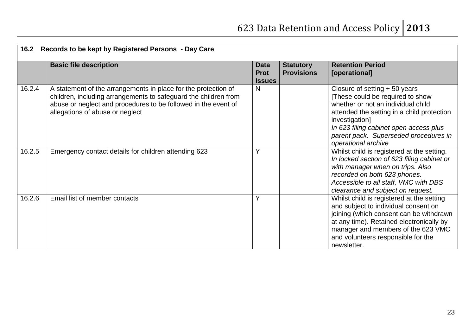| 16.2   | Records to be kept by Registered Persons - Day Care                                                                                                                                                                                    |                                             |                                       |                                                                                                                                                                                                                                                                                    |  |  |  |  |  |
|--------|----------------------------------------------------------------------------------------------------------------------------------------------------------------------------------------------------------------------------------------|---------------------------------------------|---------------------------------------|------------------------------------------------------------------------------------------------------------------------------------------------------------------------------------------------------------------------------------------------------------------------------------|--|--|--|--|--|
|        | <b>Basic file description</b>                                                                                                                                                                                                          | <b>Data</b><br><b>Prot</b><br><b>Issues</b> | <b>Statutory</b><br><b>Provisions</b> | <b>Retention Period</b><br>[operational]                                                                                                                                                                                                                                           |  |  |  |  |  |
| 16.2.4 | A statement of the arrangements in place for the protection of<br>children, including arrangements to safeguard the children from<br>abuse or neglect and procedures to be followed in the event of<br>allegations of abuse or neglect | N                                           |                                       | Closure of setting $+50$ years<br>[These could be required to show<br>whether or not an individual child<br>attended the setting in a child protection<br>investigation]<br>In 623 filing cabinet open access plus<br>parent pack. Superseded procedures in<br>operational archive |  |  |  |  |  |
| 16.2.5 | Emergency contact details for children attending 623                                                                                                                                                                                   | Y                                           |                                       | Whilst child is registered at the setting.<br>In locked section of 623 filing cabinet or<br>with manager when on trips. Also<br>recorded on both 623 phones.<br>Accessible to all staff, VMC with DBS<br>clearance and subject on request.                                         |  |  |  |  |  |
| 16.2.6 | Email list of member contacts                                                                                                                                                                                                          | Y                                           |                                       | Whilst child is registered at the setting<br>and subject to individual consent on<br>joining (which consent can be withdrawn<br>at any time). Retained electronically by<br>manager and members of the 623 VMC<br>and volunteers responsible for the<br>newsletter.                |  |  |  |  |  |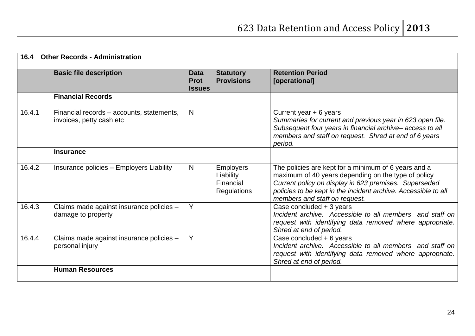| 16.4   | <b>Other Records - Administration</b>                                 |                                             |                                                                  |                                                                                                                                                                                                                                                                         |  |  |  |
|--------|-----------------------------------------------------------------------|---------------------------------------------|------------------------------------------------------------------|-------------------------------------------------------------------------------------------------------------------------------------------------------------------------------------------------------------------------------------------------------------------------|--|--|--|
|        | <b>Basic file description</b>                                         | <b>Data</b><br><b>Prot</b><br><b>Issues</b> | <b>Statutory</b><br><b>Provisions</b>                            | <b>Retention Period</b><br>[operational]                                                                                                                                                                                                                                |  |  |  |
|        | <b>Financial Records</b>                                              |                                             |                                                                  |                                                                                                                                                                                                                                                                         |  |  |  |
| 16.4.1 | Financial records - accounts, statements,<br>invoices, petty cash etc | $\mathsf{N}$                                |                                                                  | Current year $+ 6$ years<br>Summaries for current and previous year in 623 open file.<br>Subsequent four years in financial archive-access to all<br>members and staff on request. Shred at end of 6 years<br>period.                                                   |  |  |  |
|        | <b>Insurance</b>                                                      |                                             |                                                                  |                                                                                                                                                                                                                                                                         |  |  |  |
| 16.4.2 | Insurance policies - Employers Liability                              | N                                           | <b>Employers</b><br>Liability<br>Financial<br><b>Regulations</b> | The policies are kept for a minimum of 6 years and a<br>maximum of 40 years depending on the type of policy<br>Current policy on display in 623 premises. Superseded<br>policies to be kept in the incident archive. Accessible to all<br>members and staff on request. |  |  |  |
| 16.4.3 | Claims made against insurance policies -<br>damage to property        | Y                                           |                                                                  | Case concluded + 3 years<br>Incident archive. Accessible to all members and staff on<br>request with identifying data removed where appropriate.<br>Shred at end of period.                                                                                             |  |  |  |
| 16.4.4 | Claims made against insurance policies -<br>personal injury           | Y                                           |                                                                  | Case concluded + 6 years<br>Incident archive. Accessible to all members and staff on<br>request with identifying data removed where appropriate.<br>Shred at end of period.                                                                                             |  |  |  |
|        | <b>Human Resources</b>                                                |                                             |                                                                  |                                                                                                                                                                                                                                                                         |  |  |  |